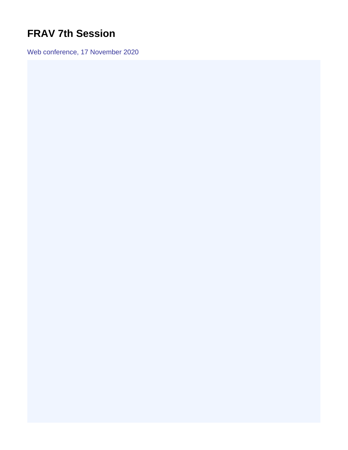## <span id="page-0-0"></span>**FRAV 7th Session**

Web conference, 17 November 2020